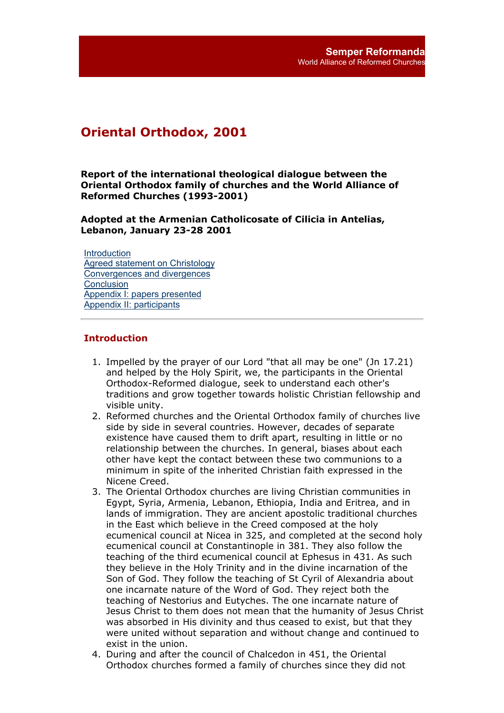# **Oriental Orthodox, 2001**

**Report of the international theological dialogue between the Oriental Orthodox family of churches and the World Alliance of Reformed Churches (1993-2001)**

**Adopted at the Armenian Catholicosate of Cilicia in Antelias, Lebanon, January 23-28 2001**

**Introduction** Agreed statement on Christology Convergences and divergences **Conclusion** Appendix I: papers presented Appendix II: participants

## **Introduction**

- 1. Impelled by the prayer of our Lord "that all may be one" (Jn 17.21) and helped by the Holy Spirit, we, the participants in the Oriental Orthodox-Reformed dialogue, seek to understand each other's traditions and grow together towards holistic Christian fellowship and visible unity.
- 2. Reformed churches and the Oriental Orthodox family of churches live side by side in several countries. However, decades of separate existence have caused them to drift apart, resulting in little or no relationship between the churches. In general, biases about each other have kept the contact between these two communions to a minimum in spite of the inherited Christian faith expressed in the Nicene Creed.
- 3. The Oriental Orthodox churches are living Christian communities in Egypt, Syria, Armenia, Lebanon, Ethiopia, India and Eritrea, and in lands of immigration. They are ancient apostolic traditional churches in the East which believe in the Creed composed at the holy ecumenical council at Nicea in 325, and completed at the second holy ecumenical council at Constantinople in 381. They also follow the teaching of the third ecumenical council at Ephesus in 431. As such they believe in the Holy Trinity and in the divine incarnation of the Son of God. They follow the teaching of St Cyril of Alexandria about one incarnate nature of the Word of God. They reject both the teaching of Nestorius and Eutyches. The one incarnate nature of Jesus Christ to them does not mean that the humanity of Jesus Christ was absorbed in His divinity and thus ceased to exist, but that they were united without separation and without change and continued to exist in the union.
- 4. During and after the council of Chalcedon in 451, the Oriental Orthodox churches formed a family of churches since they did not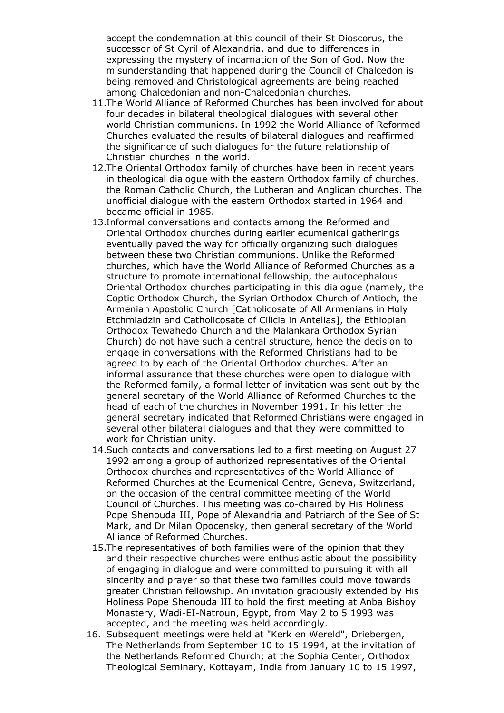accept the condemnation at this council of their St Dioscorus, the successor of St Cyril of Alexandria, and due to differences in expressing the mystery of incarnation of the Son of God. Now the misunderstanding that happened during the Council of Chalcedon is being removed and Christological agreements are being reached among Chalcedonian and non-Chalcedonian churches.

- 11. The World Alliance of Reformed Churches has been involved for about four decades in bilateral theological dialogues with several other world Christian communions. In 1992 the World Alliance of Reformed Churches evaluated the results of bilateral dialogues and reaffirmed the significance of such dialogues for the future relationship of Christian churches in the world.
- 12. The Oriental Orthodox family of churches have been in recent years in theological dialogue with the eastern Orthodox family of churches, the Roman Catholic Church, the Lutheran and Anglican churches. The unofficial dialogue with the eastern Orthodox started in 1964 and became official in 1985.
- 13. Informal conversations and contacts among the Reformed and Oriental Orthodox churches during earlier ecumenical gatherings eventually paved the way for officially organizing such dialogues between these two Christian communions. Unlike the Reformed churches, which have the World Alliance of Reformed Churches as a structure to promote international fellowship, the autocephalous Oriental Orthodox churches participating in this dialogue (namely, the Coptic Orthodox Church, the Syrian Orthodox Church of Antioch, the Armenian Apostolic Church [Catholicosate of All Armenians in Holy Etchmiadzin and Catholicosate of Cilicia in Antelias], the Ethiopian Orthodox Tewahedo Church and the Malankara Orthodox Syrian Church) do not have such a central structure, hence the decision to engage in conversations with the Reformed Christians had to be agreed to by each of the Oriental Orthodox churches. After an informal assurance that these churches were open to dialogue with the Reformed family, a formal letter of invitation was sent out by the general secretary of the World Alliance of Reformed Churches to the head of each of the churches in November 1991. In his letter the general secretary indicated that Reformed Christians were engaged in several other bilateral dialogues and that they were committed to work for Christian unity.
- 14. Such contacts and conversations led to a first meeting on August 27 1992 among a group of authorized representatives of the Oriental Orthodox churches and representatives of the World Alliance of Reformed Churches at the Ecumenical Centre, Geneva, Switzerland, on the occasion of the central committee meeting of the World Council of Churches. This meeting was co-chaired by His Holiness Pope Shenouda III, Pope of Alexandria and Patriarch of the See of St Mark, and Dr Milan Opocensky, then general secretary of the World Alliance of Reformed Churches.
- 15. The representatives of both families were of the opinion that they and their respective churches were enthusiastic about the possibility of engaging in dialogue and were committed to pursuing it with all sincerity and prayer so that these two families could move towards greater Christian fellowship. An invitation graciously extended by His Holiness Pope Shenouda III to hold the first meeting at Anba Bishoy Monastery, Wadi-EI-Natroun, Egypt, from May 2 to 5 1993 was accepted, and the meeting was held accordingly.
- 16. Subsequent meetings were held at "Kerk en Wereld", Driebergen, The Netherlands from September 10 to 15 1994, at the invitation of the Netherlands Reformed Church; at the Sophia Center, Orthodox Theological Seminary, Kottayam, India from January 10 to 15 1997,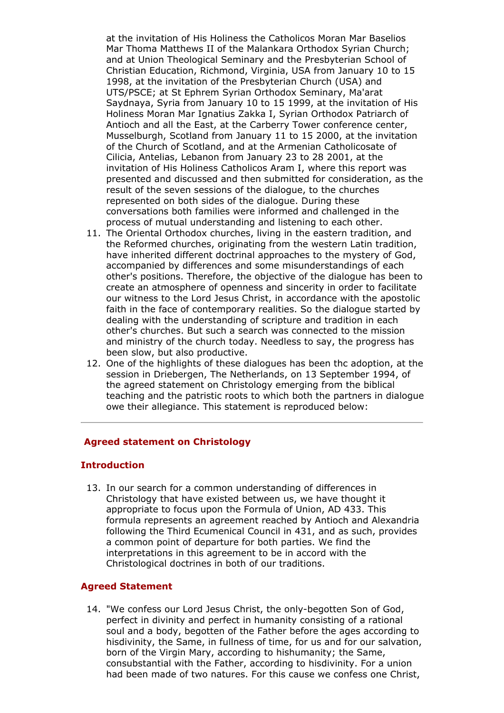at the invitation of His Holiness the Catholicos Moran Mar Baselios Mar Thoma Matthews II of the Malankara Orthodox Syrian Church; and at Union Theological Seminary and the Presbyterian School of Christian Education, Richmond, Virginia, USA from January 10 to 15 1998, at the invitation of the Presbyterian Church (USA) and UTS/PSCE; at St Ephrem Syrian Orthodox Seminary, Ma'arat Saydnaya, Syria from January 10 to 15 1999, at the invitation of His Holiness Moran Mar Ignatius Zakka I, Syrian Orthodox Patriarch of Antioch and all the East, at the Carberry Tower conference center, Musselburgh, Scotland from January 11 to 15 2000, at the invitation of the Church of Scotland, and at the Armenian Catholicosate of Cilicia, Antelias, Lebanon from January 23 to 28 2001, at the invitation of His Holiness Catholicos Aram I, where this report was presented and discussed and then submitted for consideration, as the result of the seven sessions of the dialogue, to the churches represented on both sides of the dialogue. During these conversations both families were informed and challenged in the process of mutual understanding and listening to each other.

- 11. The Oriental Orthodox churches, living in the eastern tradition, and the Reformed churches, originating from the western Latin tradition, have inherited different doctrinal approaches to the mystery of God, accompanied by differences and some misunderstandings of each other's positions. Therefore, the objective of the dialogue has been to create an atmosphere of openness and sincerity in order to facilitate our witness to the Lord Jesus Christ, in accordance with the apostolic faith in the face of contemporary realities. So the dialogue started by dealing with the understanding of scripture and tradition in each other's churches. But such a search was connected to the mission and ministry of the church today. Needless to say, the progress has been slow, but also productive.
- 12. One of the highlights of these dialogues has been the adoption, at the session in Driebergen, The Netherlands, on 13 September 1994, of the agreed statement on Christology emerging from the biblical teaching and the patristic roots to which both the partners in dialogue owe their allegiance. This statement is reproduced below:

## **Agreed statement on Christology**

#### **Introduction**

13. In our search for a common understanding of differences in Christology that have existed between us, we have thought it appropriate to focus upon the Formula of Union, AD 433. This formula represents an agreement reached by Antioch and Alexandria following the Third Ecumenical Council in 431, and as such, provides a common point of departure for both parties. We find the interpretations in this agreement to be in accord with the Christological doctrines in both of our traditions.

#### **Agreed Statement**

14. "We confess our Lord Jesus Christ, the only-begotten Son of God, perfect in divinity and perfect in humanity consisting of a rational soul and a body, begotten of the Father before the ages according to hisdivinity, the Same, in fullness of time, for us and for our salvation, born of the Virgin Mary, according to hishumanity; the Same, consubstantial with the Father, according to hisdivinity. For a union had been made of two natures. For this cause we confess one Christ,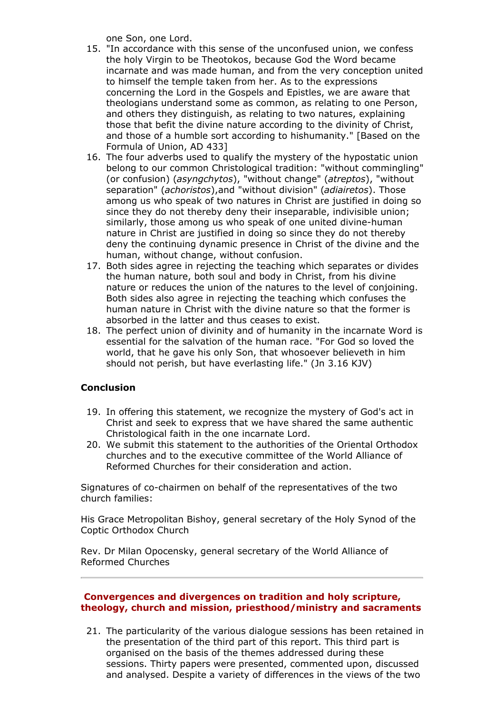one Son, one Lord.

- 15. "In accordance with this sense of the unconfused union, we confess the holy Virgin to be Theotokos, because God the Word became incarnate and was made human, and from the very conception united to himself the temple taken from her. As to the expressions concerning the Lord in the Gospels and Epistles, we are aware that theologians understand some as common, as relating to one Person, and others they distinguish, as relating to two natures, explaining those that befit the divine nature according to the divinity of Christ, and those of a humble sort according to hishumanity." [Based on the Formula of Union, AD 433]
- 16. The four adverbs used to qualify the mystery of the hypostatic union belong to our common Christological tradition: "without commingling" (or confusion) (*asyngchytos*), "without change" (*atreptos*), "without separation" (*achoristos*),and "without division" (*adiairetos*). Those among us who speak of two natures in Christ are justified in doing so since they do not thereby deny their inseparable, indivisible union; similarly, those among us who speak of one united divine-human nature in Christ are justified in doing so since they do not thereby deny the continuing dynamic presence in Christ of the divine and the human, without change, without confusion.
- 17. Both sides agree in rejecting the teaching which separates or divides the human nature, both soul and body in Christ, from his divine nature or reduces the union of the natures to the level of conjoining. Both sides also agree in rejecting the teaching which confuses the human nature in Christ with the divine nature so that the former is absorbed in the latter and thus ceases to exist.
- 18. The perfect union of divinity and of humanity in the incarnate Word is essential for the salvation of the human race. "For God so loved the world, that he gave his only Son, that whosoever believeth in him should not perish, but have everlasting life." (Jn 3.16 KJV)

## **Conclusion**

- 19. In offering this statement, we recognize the mystery of God's act in Christ and seek to express that we have shared the same authentic Christological faith in the one incarnate Lord.
- 20. We submit this statement to the authorities of the Oriental Orthodox churches and to the executive committee of the World Alliance of Reformed Churches for their consideration and action.

Signatures of co-chairmen on behalf of the representatives of the two church families:

His Grace Metropolitan Bishoy, general secretary of the Holy Synod of the Coptic Orthodox Church

Rev. Dr Milan Opocensky, general secretary of the World Alliance of Reformed Churches

## **Convergences and divergences on tradition and holy scripture, theology, church and mission, priesthood/ministry and sacraments**

21. The particularity of the various dialogue sessions has been retained in the presentation of the third part of this report. This third part is organised on the basis of the themes addressed during these sessions. Thirty papers were presented, commented upon, discussed and analysed. Despite a variety of differences in the views of the two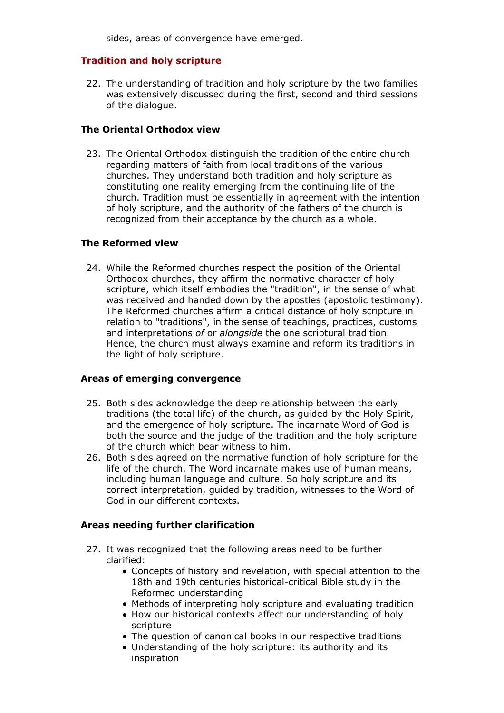sides, areas of convergence have emerged.

## **Tradition and holy scripture**

22. The understanding of tradition and holy scripture by the two families was extensively discussed during the first, second and third sessions of the dialogue.

## **The Oriental Orthodox view**

23. The Oriental Orthodox distinguish the tradition of the entire church regarding matters of faith from local traditions of the various churches. They understand both tradition and holy scripture as constituting one reality emerging from the continuing life of the church. Tradition must be essentially in agreement with the intention of holy scripture, and the authority of the fathers of the church is recognized from their acceptance by the church as a whole.

## **The Reformed view**

While the Reformed churches respect the position of the Oriental 24. Orthodox churches, they affirm the normative character of holy scripture, which itself embodies the "tradition", in the sense of what was received and handed down by the apostles (apostolic testimony). The Reformed churches affirm a critical distance of holy scripture in relation to "traditions", in the sense of teachings, practices, customs and interpretations *of* or *alongside* the one scriptural tradition. Hence, the church must always examine and reform its traditions in the light of holy scripture.

# **Areas of emerging convergence**

- 25. Both sides acknowledge the deep relationship between the early traditions (the total life) of the church, as guided by the Holy Spirit, and the emergence of holy scripture. The incarnate Word of God is both the source and the judge of the tradition and the holy scripture of the church which bear witness to him.
- 26. Both sides agreed on the normative function of holy scripture for the life of the church. The Word incarnate makes use of human means, including human language and culture. So holy scripture and its correct interpretation, guided by tradition, witnesses to the Word of God in our different contexts.

# **Areas needing further clarification**

- 27. It was recognized that the following areas need to be further clarified:
	- Concepts of history and revelation, with special attention to the 18th and 19th centuries historical-critical Bible study in the Reformed understanding
	- Methods of interpreting holy scripture and evaluating tradition
	- How our historical contexts affect our understanding of holy scripture
	- The question of canonical books in our respective traditions
	- Understanding of the holy scripture: its authority and its inspiration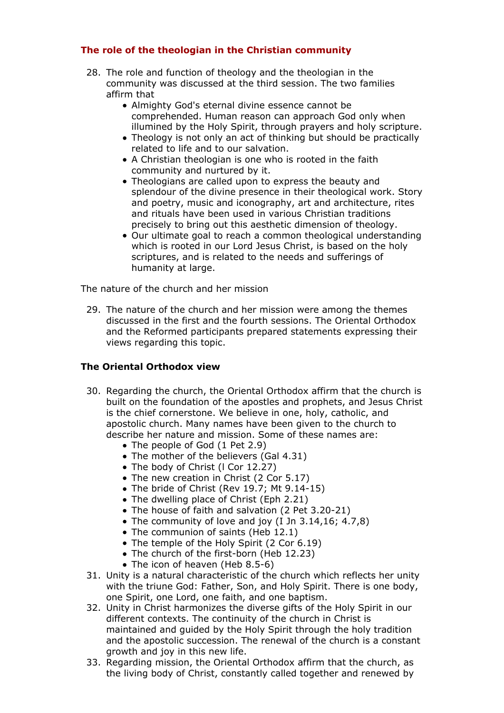# **The role of the theologian in the Christian community**

- 28. The role and function of theology and the theologian in the community was discussed at the third session. The two families affirm that
	- Almighty God's eternal divine essence cannot be comprehended. Human reason can approach God only when illumined by the Holy Spirit, through prayers and holy scripture.
	- Theology is not only an act of thinking but should be practically related to life and to our salvation.
	- A Christian theologian is one who is rooted in the faith community and nurtured by it.
	- Theologians are called upon to express the beauty and splendour of the divine presence in their theological work. Story and poetry, music and iconography, art and architecture, rites and rituals have been used in various Christian traditions precisely to bring out this aesthetic dimension of theology.
	- Our ultimate goal to reach a common theological understanding which is rooted in our Lord Jesus Christ, is based on the holy scriptures, and is related to the needs and sufferings of humanity at large.

The nature of the church and her mission

29. The nature of the church and her mission were among the themes discussed in the first and the fourth sessions. The Oriental Orthodox and the Reformed participants prepared statements expressing their views regarding this topic.

# **The Oriental Orthodox view**

- 30. Regarding the church, the Oriental Orthodox affirm that the church is built on the foundation of the apostles and prophets, and Jesus Christ is the chief cornerstone. We believe in one, holy, catholic, and apostolic church. Many names have been given to the church to describe her nature and mission. Some of these names are:
	- The people of God (1 Pet 2.9)
	- The mother of the believers (Gal 4.31)
	- The body of Christ (I Cor 12.27)
	- The new creation in Christ (2 Cor 5.17)
	- The bride of Christ (Rev 19.7; Mt 9.14-15)
	- The dwelling place of Christ (Eph 2.21)
	- The house of faith and salvation (2 Pet 3.20-21)
	- The community of love and joy (I Jn 3.14,16; 4.7,8)
	- The communion of saints (Heb 12.1)
	- The temple of the Holy Spirit (2 Cor 6.19)
	- The church of the first-born (Heb 12.23)
	- The icon of heaven (Heb 8.5-6)
- 31. Unity is a natural characteristic of the church which reflects her unity with the triune God: Father, Son, and Holy Spirit. There is one body, one Spirit, one Lord, one faith, and one baptism.
- 32. Unity in Christ harmonizes the diverse gifts of the Holy Spirit in our different contexts. The continuity of the church in Christ is maintained and guided by the Holy Spirit through the holy tradition and the apostolic succession. The renewal of the church is a constant growth and joy in this new life.
- 33. Regarding mission, the Oriental Orthodox affirm that the church, as the living body of Christ, constantly called together and renewed by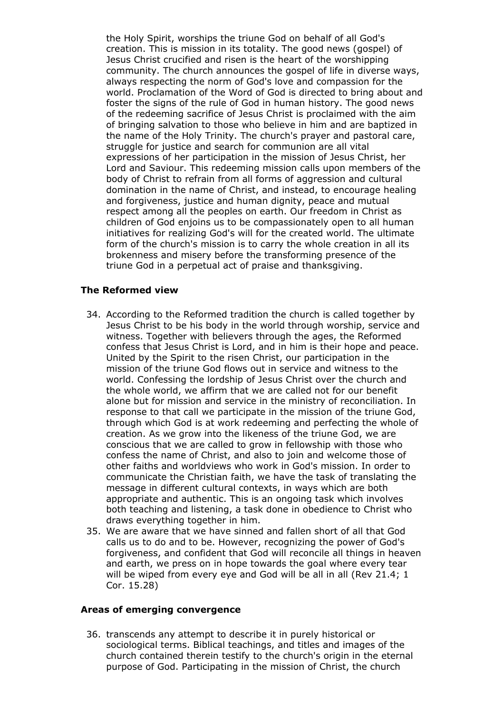the Holy Spirit, worships the triune God on behalf of all God's creation. This is mission in its totality. The good news (gospel) of Jesus Christ crucified and risen is the heart of the worshipping community. The church announces the gospel of life in diverse ways, always respecting the norm of God's love and compassion for the world. Proclamation of the Word of God is directed to bring about and foster the signs of the rule of God in human history. The good news of the redeeming sacrifice of Jesus Christ is proclaimed with the aim of bringing salvation to those who believe in him and are baptized in the name of the Holy Trinity. The church's prayer and pastoral care, struggle for justice and search for communion are all vital expressions of her participation in the mission of Jesus Christ, her Lord and Saviour. This redeeming mission calls upon members of the body of Christ to refrain from all forms of aggression and cultural domination in the name of Christ, and instead, to encourage healing and forgiveness, justice and human dignity, peace and mutual respect among all the peoples on earth. Our freedom in Christ as children of God enjoins us to be compassionately open to all human initiatives for realizing God's will for the created world. The ultimate form of the church's mission is to carry the whole creation in all its brokenness and misery before the transforming presence of the triune God in a perpetual act of praise and thanksgiving.

## **The Reformed view**

- According to the Reformed tradition the church is called together by 34. Jesus Christ to be his body in the world through worship, service and witness. Together with believers through the ages, the Reformed confess that Jesus Christ is Lord, and in him is their hope and peace. United by the Spirit to the risen Christ, our participation in the mission of the triune God flows out in service and witness to the world. Confessing the lordship of Jesus Christ over the church and the whole world, we affirm that we are called not for our benefit alone but for mission and service in the ministry of reconciliation. In response to that call we participate in the mission of the triune God, through which God is at work redeeming and perfecting the whole of creation. As we grow into the likeness of the triune God, we are conscious that we are called to grow in fellowship with those who confess the name of Christ, and also to join and welcome those of other faiths and worldviews who work in God's mission. In order to communicate the Christian faith, we have the task of translating the message in different cultural contexts, in ways which are both appropriate and authentic. This is an ongoing task which involves both teaching and listening, a task done in obedience to Christ who draws everything together in him.
- We are aware that we have sinned and fallen short of all that God 35. calls us to do and to be. However, recognizing the power of God's forgiveness, and confident that God will reconcile all things in heaven and earth, we press on in hope towards the goal where every tear will be wiped from every eye and God will be all in all (Rev 21.4; 1 Cor. 15.28)

#### **Areas of emerging convergence**

36. transcends any attempt to describe it in purely historical or sociological terms. Biblical teachings, and titles and images of the church contained therein testify to the church's origin in the eternal purpose of God. Participating in the mission of Christ, the church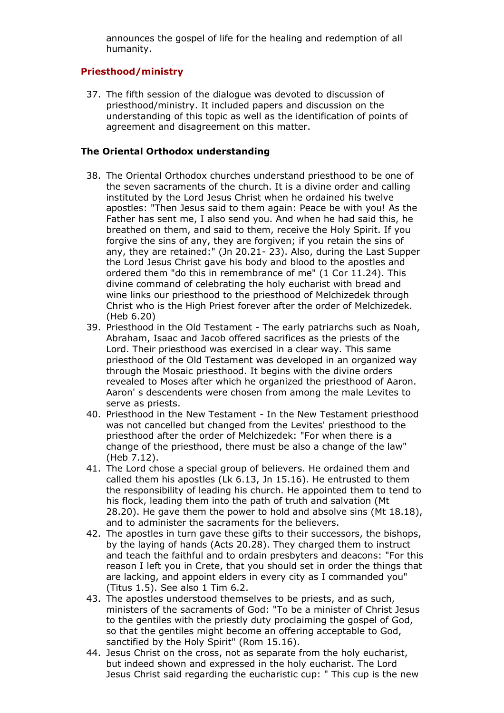announces the gospel of life for the healing and redemption of all humanity.

# **Priesthood/ministry**

37. The fifth session of the dialogue was devoted to discussion of priesthood/ministry. It included papers and discussion on the understanding of this topic as well as the identification of points of agreement and disagreement on this matter.

# **The Oriental Orthodox understanding**

- 38. The Oriental Orthodox churches understand priesthood to be one of the seven sacraments of the church. It is a divine order and calling instituted by the Lord Jesus Christ when he ordained his twelve apostles: "Then Jesus said to them again: Peace be with you! As the Father has sent me, I also send you. And when he had said this, he breathed on them, and said to them, receive the Holy Spirit. If you forgive the sins of any, they are forgiven; if you retain the sins of any, they are retained:" (Jn 20.21- 23). Also, during the Last Supper the Lord Jesus Christ gave his body and blood to the apostles and ordered them "do this in remembrance of me" (1 Cor 11.24). This divine command of celebrating the holy eucharist with bread and wine links our priesthood to the priesthood of Melchizedek through Christ who is the High Priest forever after the order of Melchizedek. (Heb 6.20)
- 39. Priesthood in the Old Testament The early patriarchs such as Noah, Abraham, Isaac and Jacob offered sacrifices as the priests of the Lord. Their priesthood was exercised in a clear way. This same priesthood of the Old Testament was developed in an organized way through the Mosaic priesthood. It begins with the divine orders revealed to Moses after which he organized the priesthood of Aaron. Aaron' s descendents were chosen from among the male Levites to serve as priests.
- 40. Priesthood in the New Testament In the New Testament priesthood was not cancelled but changed from the Levites' priesthood to the priesthood after the order of Melchizedek: "For when there is a change of the priesthood, there must be also a change of the law" (Heb 7.12).
- 41. The Lord chose a special group of believers. He ordained them and called them his apostles (Lk 6.13, Jn 15.16). He entrusted to them the responsibility of leading his church. He appointed them to tend to his flock, leading them into the path of truth and salvation (Mt 28.20). He gave them the power to hold and absolve sins (Mt 18.18), and to administer the sacraments for the believers.
- 42. The apostles in turn gave these gifts to their successors, the bishops, by the laying of hands (Acts 20.28). They charged them to instruct and teach the faithful and to ordain presbyters and deacons: "For this reason I left you in Crete, that you should set in order the things that are lacking, and appoint elders in every city as I commanded you" (Titus 1.5). See also 1 Tim 6.2.
- 43. The apostles understood themselves to be priests, and as such, ministers of the sacraments of God: "To be a minister of Christ Jesus to the gentiles with the priestly duty proclaiming the gospel of God, so that the gentiles might become an offering acceptable to God, sanctified by the Holy Spirit" (Rom 15.16).
- 44. Jesus Christ on the cross, not as separate from the holy eucharist, but indeed shown and expressed in the holy eucharist. The Lord Jesus Christ said regarding the eucharistic cup: " This cup is the new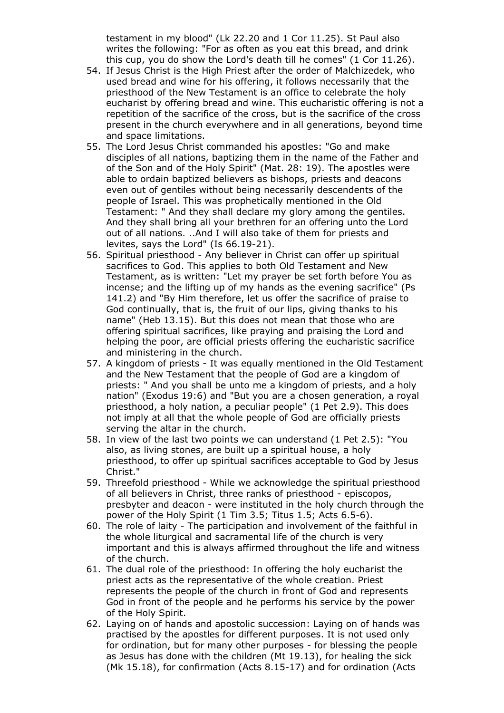testament in my blood" (Lk 22.20 and 1 Cor 11.25). St Paul also writes the following: "For as often as you eat this bread, and drink this cup, you do show the Lord's death till he comes" (1 Cor 11.26).

- 54. If Jesus Christ is the High Priest after the order of Malchizedek, who used bread and wine for his offering, it follows necessarily that the priesthood of the New Testament is an office to celebrate the holy eucharist by offering bread and wine. This eucharistic offering is not a repetition of the sacrifice of the cross, but is the sacrifice of the cross present in the church everywhere and in all generations, beyond time and space limitations.
- 55. The Lord Jesus Christ commanded his apostles: "Go and make disciples of all nations, baptizing them in the name of the Father and of the Son and of the Holy Spirit" (Mat. 28: 19). The apostles were able to ordain baptized believers as bishops, priests and deacons even out of gentiles without being necessarily descendents of the people of Israel. This was prophetically mentioned in the Old Testament: " And they shall declare my glory among the gentiles. And they shall bring all your brethren for an offering unto the Lord out of all nations. ..And I will also take of them for priests and levites, says the Lord" (Is 66.19-21).
- 56. Spiritual priesthood Any believer in Christ can offer up spiritual sacrifices to God. This applies to both Old Testament and New Testament, as is written: "Let my prayer be set forth before You as incense; and the lifting up of my hands as the evening sacrifice" (Ps 141.2) and "By Him therefore, let us offer the sacrifice of praise to God continually, that is, the fruit of our lips, giving thanks to his name" (Heb 13.15). But this does not mean that those who are offering spiritual sacrifices, like praying and praising the Lord and helping the poor, are official priests offering the eucharistic sacrifice and ministering in the church.
- 57. A kingdom of priests It was equally mentioned in the Old Testament and the New Testament that the people of God are a kingdom of priests: " And you shall be unto me a kingdom of priests, and a holy nation" (Exodus 19:6) and "But you are a chosen generation, a royal priesthood, a holy nation, a peculiar people" (1 Pet 2.9). This does not imply at all that the whole people of God are officially priests serving the altar in the church.
- 58. In view of the last two points we can understand (1 Pet 2.5): "You also, as living stones, are built up a spiritual house, a holy priesthood, to offer up spiritual sacrifices acceptable to God by Jesus Christ."
- 59. Threefold priesthood While we acknowledge the spiritual priesthood of all believers in Christ, three ranks of priesthood - episcopos, presbyter and deacon - were instituted in the holy church through the power of the Holy Spirit (1 Tim 3.5; Titus 1.5; Acts 6.5-6).
- 60. The role of laity The participation and involvement of the faithful in the whole liturgical and sacramental life of the church is very important and this is always affirmed throughout the life and witness of the church.
- 61. The dual role of the priesthood: In offering the holy eucharist the priest acts as the representative of the whole creation. Priest represents the people of the church in front of God and represents God in front of the people and he performs his service by the power of the Holy Spirit.
- 62. Laying on of hands and apostolic succession: Laying on of hands was practised by the apostles for different purposes. It is not used only for ordination, but for many other purposes - for blessing the people as Jesus has done with the children (Mt 19.13), for healing the sick (Mk 15.18), for confirmation (Acts 8.15-17) and for ordination (Acts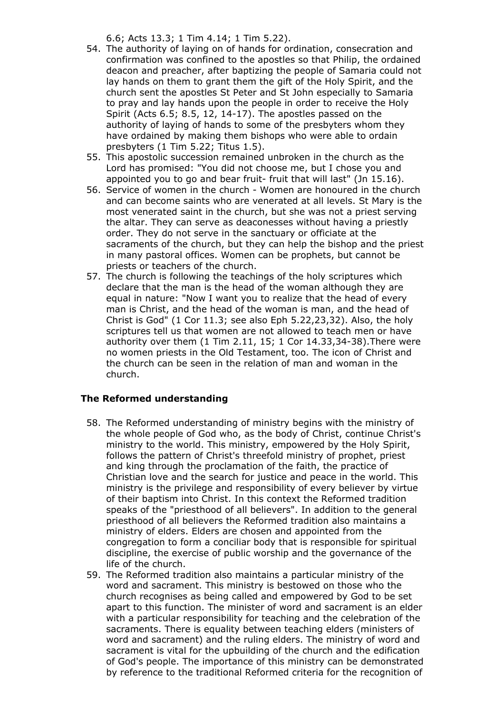6.6; Acts 13.3; 1 Tim 4.14; 1 Tim 5.22).

- 54. The authority of laying on of hands for ordination, consecration and confirmation was confined to the apostles so that Philip, the ordained deacon and preacher, after baptizing the people of Samaria could not lay hands on them to grant them the gift of the Holy Spirit, and the church sent the apostles St Peter and St John especially to Samaria to pray and lay hands upon the people in order to receive the Holy Spirit (Acts 6.5; 8.5, 12, 14-17). The apostles passed on the authority of laying of hands to some of the presbyters whom they have ordained by making them bishops who were able to ordain presbyters (1 Tim 5.22; Titus 1.5).
- 55. This apostolic succession remained unbroken in the church as the Lord has promised: "You did not choose me, but I chose you and appointed you to go and bear fruit- fruit that will last" (Jn 15.16).
- 56. Service of women in the church Women are honoured in the church and can become saints who are venerated at all levels. St Mary is the most venerated saint in the church, but she was not a priest serving the altar. They can serve as deaconesses without having a priestly order. They do not serve in the sanctuary or officiate at the sacraments of the church, but they can help the bishop and the priest in many pastoral offices. Women can be prophets, but cannot be priests or teachers of the church.
- 57. The church is following the teachings of the holy scriptures which declare that the man is the head of the woman although they are equal in nature: "Now I want you to realize that the head of every man is Christ, and the head of the woman is man, and the head of Christ is God" (1 Cor 11.3; see also Eph 5.22,23,32). Also, the holy scriptures tell us that women are not allowed to teach men or have authority over them (1 Tim 2.11, 15; 1 Cor 14.33,34-38).There were no women priests in the Old Testament, too. The icon of Christ and the church can be seen in the relation of man and woman in the church.

# **The Reformed understanding**

- 58. The Reformed understanding of ministry begins with the ministry of the whole people of God who, as the body of Christ, continue Christ's ministry to the world. This ministry, empowered by the Holy Spirit, follows the pattern of Christ's threefold ministry of prophet, priest and king through the proclamation of the faith, the practice of Christian love and the search for justice and peace in the world. This ministry is the privilege and responsibility of every believer by virtue of their baptism into Christ. In this context the Reformed tradition speaks of the "priesthood of all believers". In addition to the general priesthood of all believers the Reformed tradition also maintains a ministry of elders. Elders are chosen and appointed from the congregation to form a conciliar body that is responsible for spiritual discipline, the exercise of public worship and the governance of the life of the church.
- 59. The Reformed tradition also maintains a particular ministry of the word and sacrament. This ministry is bestowed on those who the church recognises as being called and empowered by God to be set apart to this function. The minister of word and sacrament is an elder with a particular responsibility for teaching and the celebration of the sacraments. There is equality between teaching elders (ministers of word and sacrament) and the ruling elders. The ministry of word and sacrament is vital for the upbuilding of the church and the edification of God's people. The importance of this ministry can be demonstrated by reference to the traditional Reformed criteria for the recognition of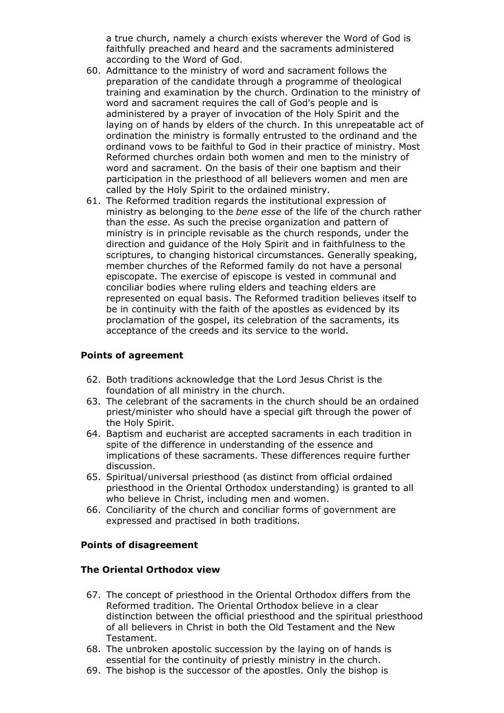a true church, namely a church exists wherever the Word of God is faithfully preached and heard and the sacraments administered according to the Word of God.

- 60. Admittance to the ministry of word and sacrament follows the preparation of the candidate through a programme of theological training and examination by the church. Ordination to the ministry of word and sacrament requires the call of God's people and is administered by a prayer of invocation of the Holy Spirit and the laying on of hands by elders of the church. In this unrepeatable act of ordination the ministry is formally entrusted to the ordinand and the ordinand vows to be faithful to God in their practice of ministry. Most Reformed churches ordain both women and men to the ministry of word and sacrament. On the basis of their one baptism and their participation in the priesthood of all believers women and men are called by the Holy Spirit to the ordained ministry.
- 61. The Reformed tradition regards the institutional expression of ministry as belonging to the *bene esse* of the life of the church rather than the *esse*. As such the precise organization and pattern of ministry is in principle revisable as the church responds, under the direction and guidance of the Holy Spirit and in faithfulness to the scriptures, to changing historical circumstances. Generally speaking, member churches of the Reformed family do not have a personal episcopate. The exercise of episcope is vested in communal and conciliar bodies where ruling elders and teaching elders are represented on equal basis. The Reformed tradition believes itself to be in continuity with the faith of the apostles as evidenced by its proclamation of the gospel, its celebration of the sacraments, its acceptance of the creeds and its service to the world.

## **Points of agreement**

- 62. Both traditions acknowledge that the Lord Jesus Christ is the foundation of all ministry in the church.
- 63. The celebrant of the sacraments in the church should be an ordained priest/minister who should have a special gift through the power of the Holy Spirit.
- 64. Baptism and eucharist are accepted sacraments in each tradition in spite of the difference in understanding of the essence and implications of these sacraments. These differences require further discussion.
- Spiritual/universal priesthood (as distinct from official ordained 65. priesthood in the Oriental Orthodox understanding) is granted to all who believe in Christ, including men and women.
- 66. Conciliarity of the church and conciliar forms of government are expressed and practised in both traditions.

## **Points of disagreement**

## **The Oriental Orthodox view**

- 67. The concept of priesthood in the Oriental Orthodox differs from the Reformed tradition. The Oriental Orthodox believe in a clear distinction between the official priesthood and the spiritual priesthood of all believers in Christ in both the Old Testament and the New Testament.
- 68. The unbroken apostolic succession by the laying on of hands is essential for the continuity of priestly ministry in the church.
- 69. The bishop is the successor of the apostles. Only the bishop is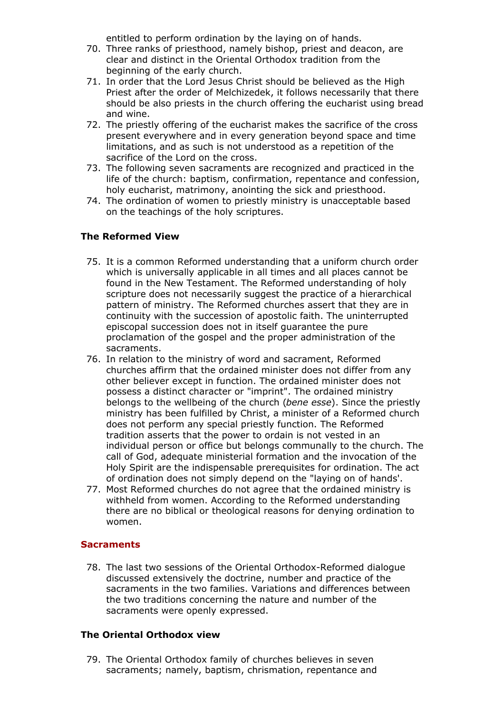entitled to perform ordination by the laying on of hands.

- 70. Three ranks of priesthood, namely bishop, priest and deacon, are clear and distinct in the Oriental Orthodox tradition from the beginning of the early church.
- 71. In order that the Lord Jesus Christ should be believed as the High Priest after the order of Melchizedek, it follows necessarily that there should be also priests in the church offering the eucharist using bread and wine.
- 72. The priestly offering of the eucharist makes the sacrifice of the cross present everywhere and in every generation beyond space and time limitations, and as such is not understood as a repetition of the sacrifice of the Lord on the cross.
- 73. The following seven sacraments are recognized and practiced in the life of the church: baptism, confirmation, repentance and confession, holy eucharist, matrimony, anointing the sick and priesthood.
- 74. The ordination of women to priestly ministry is unacceptable based on the teachings of the holy scriptures.

# **The Reformed View**

- 75. It is a common Reformed understanding that a uniform church order which is universally applicable in all times and all places cannot be found in the New Testament. The Reformed understanding of holy scripture does not necessarily suggest the practice of a hierarchical pattern of ministry. The Reformed churches assert that they are in continuity with the succession of apostolic faith. The uninterrupted episcopal succession does not in itself guarantee the pure proclamation of the gospel and the proper administration of the sacraments.
- 76. In relation to the ministry of word and sacrament, Reformed churches affirm that the ordained minister does not differ from any other believer except in function. The ordained minister does not possess a distinct character or "imprint". The ordained ministry belongs to the wellbeing of the church (*bene esse*). Since the priestly ministry has been fulfilled by Christ, a minister of a Reformed church does not perform any special priestly function. The Reformed tradition asserts that the power to ordain is not vested in an individual person or office but belongs communally to the church. The call of God, adequate ministerial formation and the invocation of the Holy Spirit are the indispensable prerequisites for ordination. The act of ordination does not simply depend on the "laying on of hands'.
- 77. Most Reformed churches do not agree that the ordained ministry is withheld from women. According to the Reformed understanding there are no biblical or theological reasons for denying ordination to women.

# **Sacraments**

78. The last two sessions of the Oriental Orthodox-Reformed dialogue discussed extensively the doctrine, number and practice of the sacraments in the two families. Variations and differences between the two traditions concerning the nature and number of the sacraments were openly expressed.

## **The Oriental Orthodox view**

79. The Oriental Orthodox family of churches believes in seven sacraments; namely, baptism, chrismation, repentance and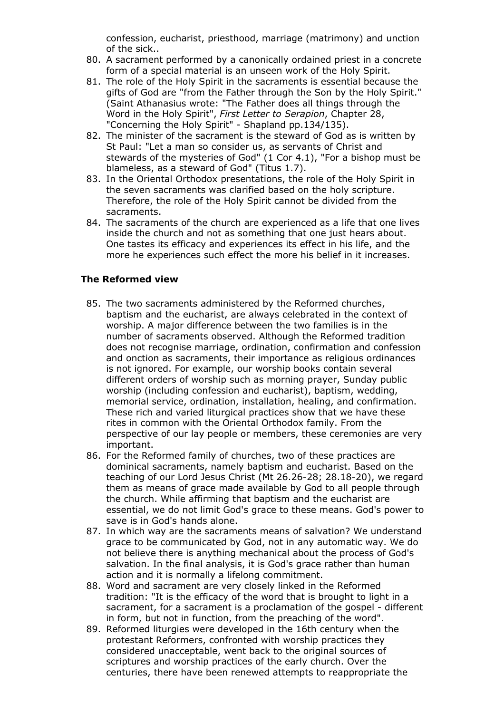confession, eucharist, priesthood, marriage (matrimony) and unction of the sick..

- A sacrament performed by a canonically ordained priest in a concrete 80. form of a special material is an unseen work of the Holy Spirit.
- 81. The role of the Holy Spirit in the sacraments is essential because the gifts of God are "from the Father through the Son by the Holy Spirit." (Saint Athanasius wrote: "The Father does all things through the Word in the Holy Spirit", *First Letter to Serapion*, Chapter 28, "Concerning the Holy Spirit" - Shapland pp.134/135).
- 82. The minister of the sacrament is the steward of God as is written by St Paul: "Let a man so consider us, as servants of Christ and stewards of the mysteries of God" (1 Cor 4.1), "For a bishop must be blameless, as a steward of God" (Titus 1.7).
- 83. In the Oriental Orthodox presentations, the role of the Holy Spirit in the seven sacraments was clarified based on the holy scripture. Therefore, the role of the Holy Spirit cannot be divided from the sacraments.
- 84. The sacraments of the church are experienced as a life that one lives inside the church and not as something that one just hears about. One tastes its efficacy and experiences its effect in his life, and the more he experiences such effect the more his belief in it increases.

## **The Reformed view**

- 85. The two sacraments administered by the Reformed churches, baptism and the eucharist, are always celebrated in the context of worship. A major difference between the two families is in the number of sacraments observed. Although the Reformed tradition does not recognise marriage, ordination, confirmation and confession and onction as sacraments, their importance as religious ordinances is not ignored. For example, our worship books contain several different orders of worship such as morning prayer, Sunday public worship (including confession and eucharist), baptism, wedding, memorial service, ordination, installation, healing, and confirmation. These rich and varied liturgical practices show that we have these rites in common with the Oriental Orthodox family. From the perspective of our lay people or members, these ceremonies are very important.
- 86. For the Reformed family of churches, two of these practices are dominical sacraments, namely baptism and eucharist. Based on the teaching of our Lord Jesus Christ (Mt 26.26-28; 28.18-20), we regard them as means of grace made available by God to all people through the church. While affirming that baptism and the eucharist are essential, we do not limit God's grace to these means. God's power to save is in God's hands alone.
- 87. In which way are the sacraments means of salvation? We understand grace to be communicated by God, not in any automatic way. We do not believe there is anything mechanical about the process of God's salvation. In the final analysis, it is God's grace rather than human action and it is normally a lifelong commitment.
- 88. Word and sacrament are very closely linked in the Reformed tradition: "It is the efficacy of the word that is brought to light in a sacrament, for a sacrament is a proclamation of the gospel - different in form, but not in function, from the preaching of the word".
- 89. Reformed liturgies were developed in the 16th century when the protestant Reformers, confronted with worship practices they considered unacceptable, went back to the original sources of scriptures and worship practices of the early church. Over the centuries, there have been renewed attempts to reappropriate the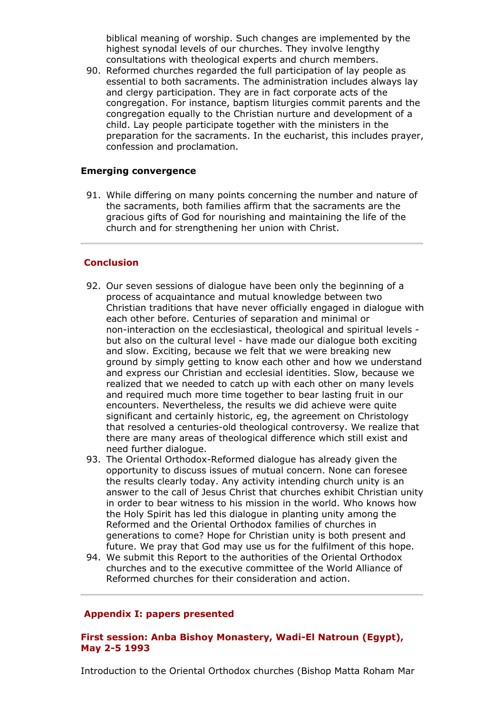biblical meaning of worship. Such changes are implemented by the highest synodal levels of our churches. They involve lengthy consultations with theological experts and church members.

90. Reformed churches regarded the full participation of lay people as essential to both sacraments. The administration includes always lay and clergy participation. They are in fact corporate acts of the congregation. For instance, baptism liturgies commit parents and the congregation equally to the Christian nurture and development of a child. Lay people participate together with the ministers in the preparation for the sacraments. In the eucharist, this includes prayer, confession and proclamation.

## **Emerging convergence**

While differing on many points concerning the number and nature of 91. the sacraments, both families affirm that the sacraments are the gracious gifts of God for nourishing and maintaining the life of the church and for strengthening her union with Christ.

## **Conclusion**

- 92. Our seven sessions of dialogue have been only the beginning of a process of acquaintance and mutual knowledge between two Christian traditions that have never officially engaged in dialogue with each other before. Centuries of separation and minimal or non-interaction on the ecclesiastical, theological and spiritual levels but also on the cultural level - have made our dialogue both exciting and slow. Exciting, because we felt that we were breaking new ground by simply getting to know each other and how we understand and express our Christian and ecclesial identities. Slow, because we realized that we needed to catch up with each other on many levels and required much more time together to bear lasting fruit in our encounters. Nevertheless, the results we did achieve were quite significant and certainly historic, eg, the agreement on Christology that resolved a centuries-old theological controversy. We realize that there are many areas of theological difference which still exist and need further dialogue.
- 93. The Oriental Orthodox-Reformed dialogue has already given the opportunity to discuss issues of mutual concern. None can foresee the results clearly today. Any activity intending church unity is an answer to the call of Jesus Christ that churches exhibit Christian unity in order to bear witness to his mission in the world. Who knows how the Holy Spirit has led this dialogue in planting unity among the Reformed and the Oriental Orthodox families of churches in generations to come? Hope for Christian unity is both present and future. We pray that God may use us for the fulfilment of this hope.
- 94. We submit this Report to the authorities of the Oriental Orthodox churches and to the executive committee of the World Alliance of Reformed churches for their consideration and action.

## **Appendix I: papers presented**

## **First session: Anba Bishoy Monastery, Wadi-El Natroun (Egypt), May 2-5 1993**

Introduction to the Oriental Orthodox churches (Bishop Matta Roham Mar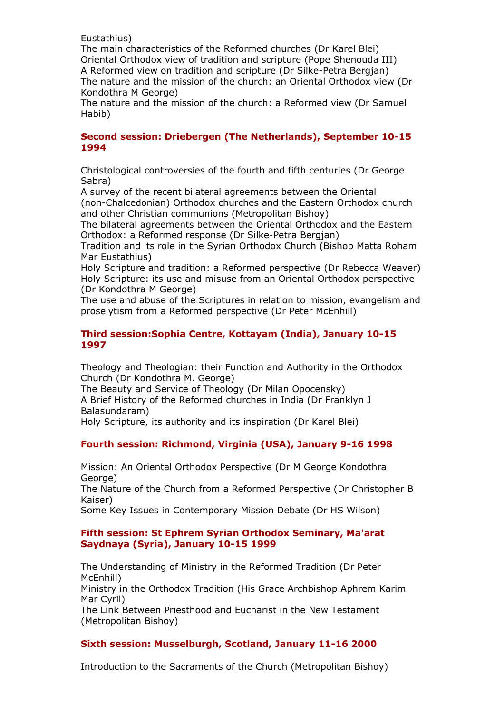Eustathius)

The main characteristics of the Reformed churches (Dr Karel Blei) Oriental Orthodox view of tradition and scripture (Pope Shenouda III) A Reformed view on tradition and scripture (Dr Silke-Petra Bergjan) The nature and the mission of the church: an Oriental Orthodox view (Dr Kondothra M George)

The nature and the mission of the church: a Reformed view (Dr Samuel Habib)

## **Second session: Driebergen (The Netherlands), September 10-15 1994**

Christological controversies of the fourth and fifth centuries (Dr George Sabra)

A survey of the recent bilateral agreements between the Oriental (non-Chalcedonian) Orthodox churches and the Eastern Orthodox church and other Christian communions (Metropolitan Bishoy)

The bilateral agreements between the Oriental Orthodox and the Eastern Orthodox: a Reformed response (Dr Silke-Petra Bergjan)

Tradition and its role in the Syrian Orthodox Church (Bishop Matta Roham Mar Eustathius)

Holy Scripture and tradition: a Reformed perspective (Dr Rebecca Weaver) Holy Scripture: its use and misuse from an Oriental Orthodox perspective (Dr Kondothra M George)

The use and abuse of the Scriptures in relation to mission, evangelism and proselytism from a Reformed perspective (Dr Peter McEnhill)

## **Third session:Sophia Centre, Kottayam (India), January 10-15 1997**

Theology and Theologian: their Function and Authority in the Orthodox Church (Dr Kondothra M. George)

The Beauty and Service of Theology (Dr Milan Opocensky) A Brief History of the Reformed churches in India (Dr Franklyn J Balasundaram)

Holy Scripture, its authority and its inspiration (Dr Karel Blei)

# **Fourth session: Richmond, Virginia (USA), January 9-16 1998**

Mission: An Oriental Orthodox Perspective (Dr M George Kondothra George)

The Nature of the Church from a Reformed Perspective (Dr Christopher B Kaiser)

Some Key Issues in Contemporary Mission Debate (Dr HS Wilson)

## **Fifth session: St Ephrem Syrian Orthodox Seminary, Ma'arat Saydnaya (Syria), January 10-15 1999**

The Understanding of Ministry in the Reformed Tradition (Dr Peter McEnhill)

Ministry in the Orthodox Tradition (His Grace Archbishop Aphrem Karim Mar Cyril)

The Link Between Priesthood and Eucharist in the New Testament (Metropolitan Bishoy)

## **Sixth session: Musselburgh, Scotland, January 11-16 2000**

Introduction to the Sacraments of the Church (Metropolitan Bishoy)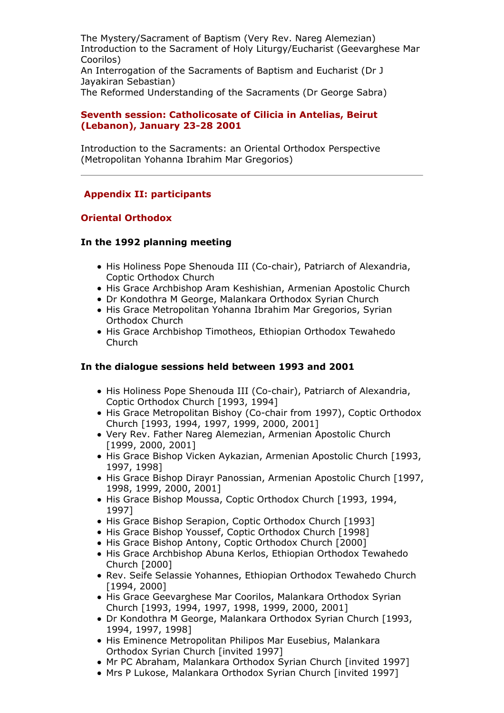The Mystery/Sacrament of Baptism (Very Rev. Nareg Alemezian) Introduction to the Sacrament of Holy Liturgy/Eucharist (Geevarghese Mar Coorilos) An Interrogation of the Sacraments of Baptism and Eucharist (Dr J Jayakiran Sebastian) The Reformed Understanding of the Sacraments (Dr George Sabra)

## **Seventh session: Catholicosate of Cilicia in Antelias, Beirut (Lebanon), January 23-28 2001**

Introduction to the Sacraments: an Oriental Orthodox Perspective (Metropolitan Yohanna Ibrahim Mar Gregorios)

# **Appendix II: participants**

# **Oriental Orthodox**

## **In the 1992 planning meeting**

- His Holiness Pope Shenouda III (Co-chair), Patriarch of Alexandria, Coptic Orthodox Church
- His Grace Archbishop Aram Keshishian, Armenian Apostolic Church
- Dr Kondothra M George, Malankara Orthodox Syrian Church
- His Grace Metropolitan Yohanna Ibrahim Mar Gregorios, Syrian Orthodox Church
- His Grace Archbishop Timotheos, Ethiopian Orthodox Tewahedo Church

# **In the dialogue sessions held between 1993 and 2001**

- His Holiness Pope Shenouda III (Co-chair), Patriarch of Alexandria, Coptic Orthodox Church [1993, 1994]
- His Grace Metropolitan Bishoy (Co-chair from 1997), Coptic Orthodox Church [1993, 1994, 1997, 1999, 2000, 2001]
- Very Rev. Father Nareg Alemezian, Armenian Apostolic Church [1999, 2000, 2001]
- His Grace Bishop Vicken Aykazian, Armenian Apostolic Church [1993, 1997, 1998]
- His Grace Bishop Dirayr Panossian, Armenian Apostolic Church [1997, 1998, 1999, 2000, 2001]
- His Grace Bishop Moussa, Coptic Orthodox Church [1993, 1994, 1997]
- His Grace Bishop Serapion, Coptic Orthodox Church [1993]
- His Grace Bishop Youssef, Coptic Orthodox Church [1998]
- His Grace Bishop Antony, Coptic Orthodox Church [2000]
- His Grace Archbishop Abuna Kerlos, Ethiopian Orthodox Tewahedo Church [2000]
- Rev. Seife Selassie Yohannes, Ethiopian Orthodox Tewahedo Church [1994, 2000]
- His Grace Geevarghese Mar Coorilos, Malankara Orthodox Syrian Church [1993, 1994, 1997, 1998, 1999, 2000, 2001]
- Dr Kondothra M George, Malankara Orthodox Syrian Church [1993, 1994, 1997, 1998]
- His Eminence Metropolitan Philipos Mar Eusebius, Malankara Orthodox Syrian Church [invited 1997]
- Mr PC Abraham, Malankara Orthodox Syrian Church [invited 1997]
- Mrs P Lukose, Malankara Orthodox Syrian Church [invited 1997]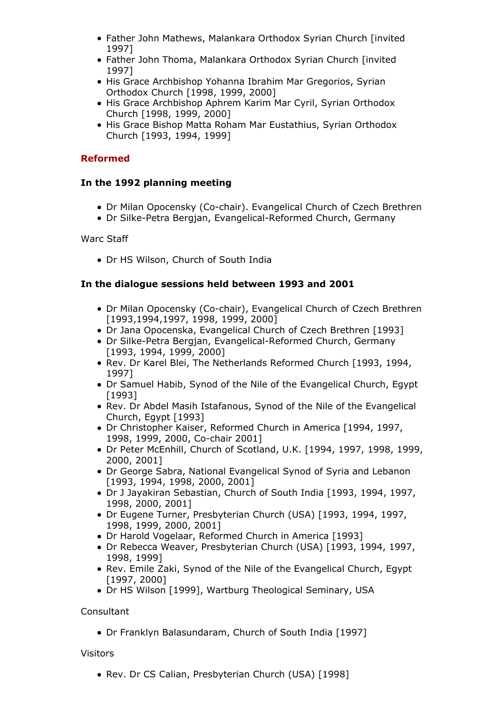- Father John Mathews, Malankara Orthodox Syrian Church [invited 1997]
- Father John Thoma, Malankara Orthodox Syrian Church [invited 1997]
- His Grace Archbishop Yohanna Ibrahim Mar Gregorios, Syrian Orthodox Church [1998, 1999, 2000]
- His Grace Archbishop Aphrem Karim Mar Cyril, Syrian Orthodox Church [1998, 1999, 2000]
- His Grace Bishop Matta Roham Mar Eustathius, Syrian Orthodox Church [1993, 1994, 1999]

# **Reformed**

# **In the 1992 planning meeting**

- Dr Milan Opocensky (Co-chair). Evangelical Church of Czech Brethren
- Dr Silke-Petra Bergjan, Evangelical-Reformed Church, Germany

# Warc Staff

Dr HS Wilson, Church of South India

# **In the dialogue sessions held between 1993 and 2001**

- Dr Milan Opocensky (Co-chair), Evangelical Church of Czech Brethren [1993,1994,1997, 1998, 1999, 2000]
- Dr Jana Opocenska, Evangelical Church of Czech Brethren [1993]
- Dr Silke-Petra Bergjan, Evangelical-Reformed Church, Germany [1993, 1994, 1999, 2000]
- Rev. Dr Karel Blei, The Netherlands Reformed Church [1993, 1994, 1997]
- Dr Samuel Habib, Synod of the Nile of the Evangelical Church, Egypt [1993]
- Rev. Dr Abdel Masih Istafanous, Synod of the Nile of the Evangelical Church, Egypt [1993]
- Dr Christopher Kaiser, Reformed Church in America [1994, 1997, 1998, 1999, 2000, Co-chair 2001]
- Dr Peter McEnhill, Church of Scotland, U.K. [1994, 1997, 1998, 1999, 2000, 2001]
- Dr George Sabra, National Evangelical Synod of Syria and Lebanon [1993, 1994, 1998, 2000, 2001]
- Dr J Jayakiran Sebastian, Church of South India [1993, 1994, 1997, 1998, 2000, 2001]
- Dr Eugene Turner, Presbyterian Church (USA) [1993, 1994, 1997, 1998, 1999, 2000, 2001]
- Dr Harold Vogelaar, Reformed Church in America [1993]
- Dr Rebecca Weaver, Presbyterian Church (USA) [1993, 1994, 1997, 1998, 1999]
- Rev. Emile Zaki, Synod of the Nile of the Evangelical Church, Egypt [1997, 2000]
- Dr HS Wilson [1999], Wartburg Theological Seminary, USA

# **Consultant**

Dr Franklyn Balasundaram, Church of South India [1997]

# Visitors

• Rev. Dr CS Calian, Presbyterian Church (USA) [1998]